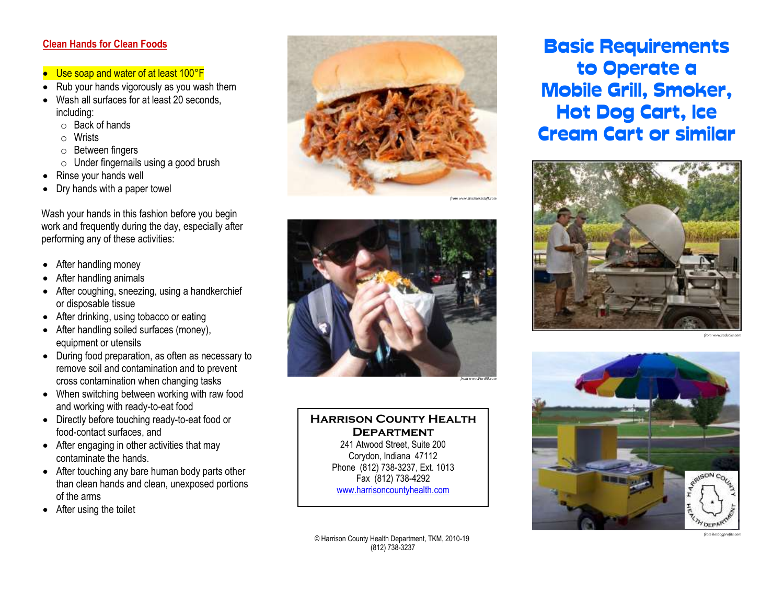#### **Clean Hands for Clean Foods**

- Use soap and water of at least 100°F
- Rub your hands vigorously as you wash them
- Wash all surfaces for at least 20 seconds, including:
	- o Back of hands
	- o Wrists
	- o Between fingers
	- $\circ$  Under fingernails using a good brush
- Rinse your hands well
- Dry hands with a paper towel

Wash your hands in this fashion before you begin work and frequently during the day, especially after performing any of these activities:

- After handling money
- After handling animals
- After coughing, sneezing, using a handkerchief or disposable tissue
- After drinking, using tobacco or eating
- After handling soiled surfaces (money), equipment or utensils
- During food preparation, as often as necessary to remove soil and contamination and to prevent cross contamination when changing tasks
- When switching between working with raw food and working with ready-to-eat food
- Directly before touching ready-to-eat food or food-contact surfaces, and
- After engaging in other activities that may contaminate the hands.
- After touching any bare human body parts other than clean hands and clean, unexposed portions of the arms
- After using the toilet





#### **Harrison County Health Department** 241 Atwood Street, Suite 200 Corydon, Indiana 47112 Phone (812) 738-3237, Ext. 1013 Fax (812) 738-4292

[www.harrisoncountyhealth.com](http://www.harrisoncountyhealth.com/)

© Harrison County Health Department, TKM, 2010-19 (812) 738-3237

Basic Requirements to Operate a Mobile Grill, Smoker, Hot Dog Cart, Ice Cream Cart or similar



*from www.scducks.com*



*from hotdogprofits.com*